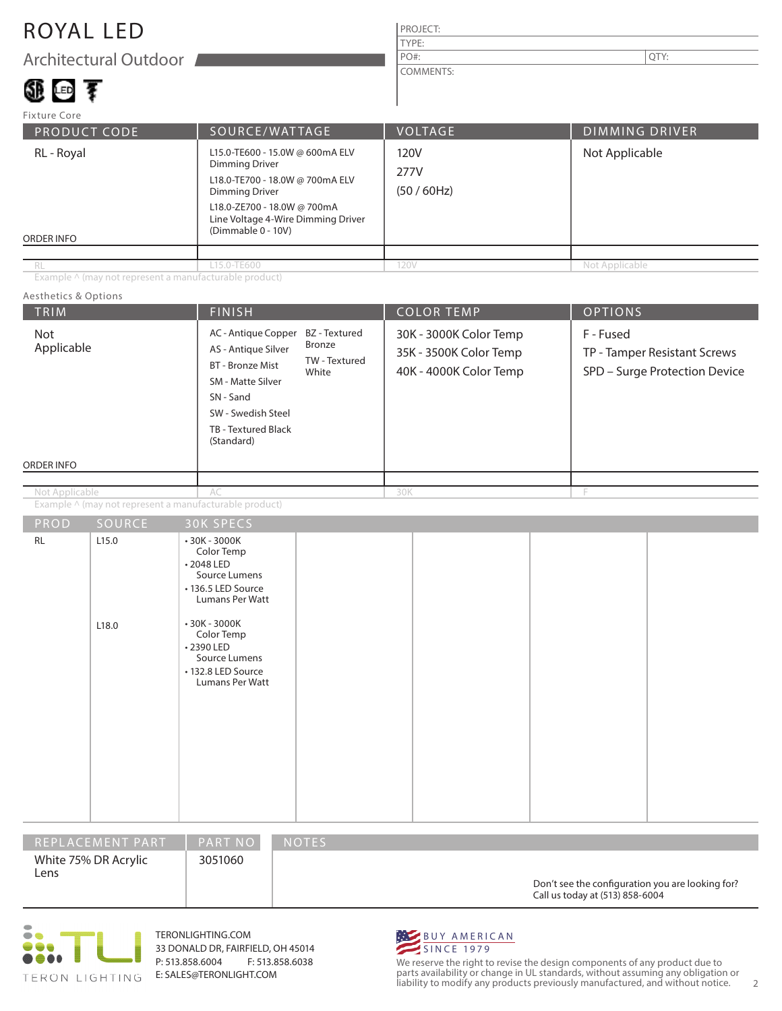### ROYAL LED

Architectural Outdoor

### 卵画す

#### PROJECT: COMMENTS: PO#:  $\vert$  QTY:

| Fixture Core             |                                                                                                                                                                                                          |                                |                       |  |  |
|--------------------------|----------------------------------------------------------------------------------------------------------------------------------------------------------------------------------------------------------|--------------------------------|-----------------------|--|--|
| PRODUCT CODE             | SOURCE/WATTAGE                                                                                                                                                                                           | <b>VOLTAGE</b>                 | <b>DIMMING DRIVER</b> |  |  |
| RL - Royal<br>ORDER INFO | L15.0-TE600 - 15.0W @ 600mA ELV<br><b>Dimming Driver</b><br>L18.0-TE700 - 18.0W @ 700mA ELV<br>Dimming Driver<br>L18.0-ZE700 - 18.0W @ 700mA<br>Line Voltage 4-Wire Dimming Driver<br>(Dimmable 0 - 10V) | 120V<br>277V<br>$(50 / 60$ Hz) | Not Applicable        |  |  |
|                          |                                                                                                                                                                                                          |                                |                       |  |  |
| RL                       | L15.0-TE600                                                                                                                                                                                              | 120V                           | Not Applicable        |  |  |

TYPE:

Example ^ (may not represent a manufacturable product)

#### TRIM  $\vert$  Finish  $\vert$  Color Temp  $\vert$  Options ORDER INFO Aesthetics & Options PROD SOURCE Example ^ (may not represent a manufacturable product) 30K - 3000K Color Temp 35K - 3500K Color Temp 40K - 4000K Color Temp F - Fused TP - Tamper Resistant Screws SPD – Surge Protection Device AC - Antique Copper BZ - Textured AS - Antique Silver BT - Bronze Mist SM - Matte Silver SN - Sand SW - Swedish Steel TB - Textured Black (Standard) AC 30K F RL 2.15.0 L18.0 • 30K - 3000K Color Temp • 2048 LED Source Lumens • 136.5 LED Source Lumans Per Watt • 30K - 3000K Color Temp • 2390 LED Source Lumens • 132.8 LED Source Lumans Per Watt Bronze TW - Textured White Not Applicable Not Applicable

| REPLACEMENT PART             | <b>PART NO</b> | <b>NOTES</b>                                                                        |
|------------------------------|----------------|-------------------------------------------------------------------------------------|
| White 75% DR Acrylic<br>Lens | 3051060        | Don't see the configuration you are looking for?<br>Call us today at (513) 858-6004 |



TERONLIGHTING.COM 33 DONALD DR, FAIRFIELD, OH 45014 P: 513.858.6004 F: 513.858.6038 E: SALES@TERONLIGHT.COM



We reserve the right to revise the design components of any product due to parts availability or change in UL standards, without assuming any obligation or liability to modify any products previously manufactured, and without notice. 2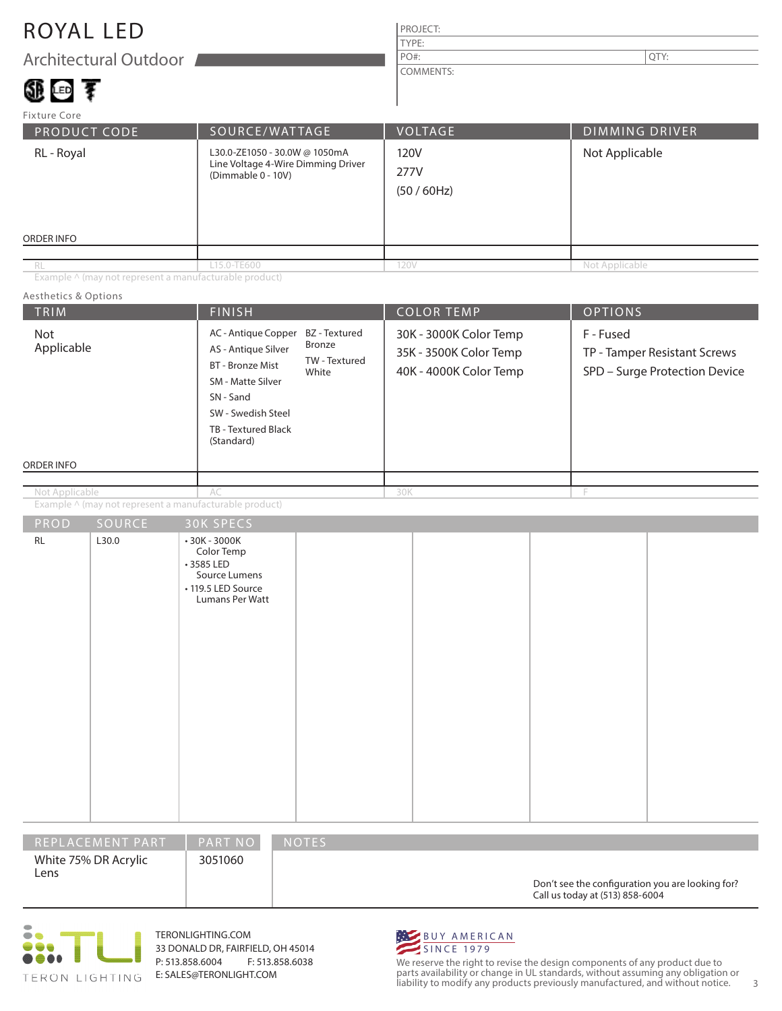### ROYAL LED

Architectural Outdoor

## ①画を

#### PROJECT: TYPE: COMMENTS: PO#:  $\vert$  QTY:

| Fixture Core                                                                                            |                |                           |                       |  |  |
|---------------------------------------------------------------------------------------------------------|----------------|---------------------------|-----------------------|--|--|
| <b>PRODUCT CODE</b>                                                                                     | SOURCE/WATTAGE | <b>VOLTAGE</b>            | <b>DIMMING DRIVER</b> |  |  |
| L30.0-ZE1050 - 30.0W @ 1050mA<br>RL - Royal<br>Line Voltage 4-Wire Dimming Driver<br>(Dimmable 0 - 10V) |                | 120V<br>277V<br>(50/60Hz) | Not Applicable        |  |  |
| ORDER INFO                                                                                              |                |                           |                       |  |  |
|                                                                                                         |                |                           |                       |  |  |
| RL                                                                                                      | L15.0-TE600    | 120V                      | Not Applicable        |  |  |

Example ^ (may not represent a manufacturable product)

#### Aesthetics & Options

| TRIM              |                  | <b>FINISH</b>                                                                                                                                                      |                                                   |     | <b>COLOR TEMP</b>                                                          | <b>OPTIONS</b> |                                                               |
|-------------------|------------------|--------------------------------------------------------------------------------------------------------------------------------------------------------------------|---------------------------------------------------|-----|----------------------------------------------------------------------------|----------------|---------------------------------------------------------------|
| Not<br>Applicable |                  | AC - Antique Copper<br>AS - Antique Silver<br><b>BT</b> - Bronze Mist<br>SM - Matte Silver<br>SN - Sand<br>SW - Swedish Steel<br>TB - Textured Black<br>(Standard) | BZ - Textured<br>Bronze<br>TW - Textured<br>White |     | 30K - 3000K Color Temp<br>35K - 3500K Color Temp<br>40K - 4000K Color Temp | F - Fused      | TP - Tamper Resistant Screws<br>SPD - Surge Protection Device |
| ORDER INFO        |                  |                                                                                                                                                                    |                                                   |     |                                                                            |                |                                                               |
| Not Applicable    |                  | AC                                                                                                                                                                 |                                                   | 30K |                                                                            | F              |                                                               |
|                   |                  | Example ^ (may not represent a manufacturable product)                                                                                                             |                                                   |     |                                                                            |                |                                                               |
| PROD              | SOURCE           | 30K SPECS                                                                                                                                                          |                                                   |     |                                                                            |                |                                                               |
| <b>RL</b>         | L30.0            | • 30K - 3000K<br>Color Temp<br>+3585 LED<br>Source Lumens<br>• 119.5 LED Source<br>Lumans Per Watt                                                                 |                                                   |     |                                                                            |                |                                                               |
|                   | REPLACEMENT PART | PART NO                                                                                                                                                            | NOTES                                             |     |                                                                            |                |                                                               |

| REPLACEMENT PART             | <b>PART NO</b> | <b>NOTES</b>                                                                        |
|------------------------------|----------------|-------------------------------------------------------------------------------------|
| White 75% DR Acrylic<br>Lens | 3051060        | Don't see the configuration you are looking for?<br>Call us today at (513) 858-6004 |



TERONLIGHTING.COM 33 DONALD DR, FAIRFIELD, OH 45014 P: 513.858.6004 F: 513.858.6038 E: SALES@TERONLIGHT.COM



We reserve the right to revise the design components of any product due to parts availability or change in UL standards, without assuming any obligation or liability to modify any products previously manufactured, and without notice. 3